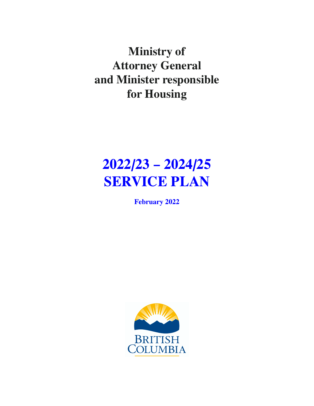**Ministry of Attorney General and Minister responsible for Housing**

# **2022/23 – 2024/25 SERVICE PLAN**

**February 2022**

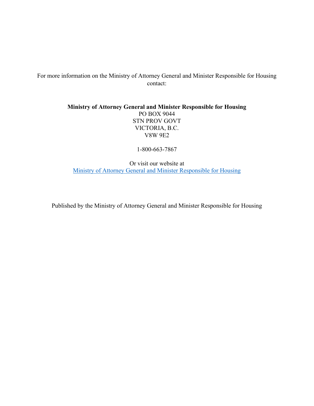For more information on the Ministry of Attorney General and Minister Responsible for Housing contact:

> **Ministry of Attorney General and Minister Responsible for Housing**  PO BOX 9044 STN PROV GOVT VICTORIA, B.C. V8W 9E2

> > 1-800-663-7867

Or visit our website at [Ministry of Attorney General and Minister Responsible for Housing](https://www2.gov.bc.ca/gov/content/governments/organizational-structure/ministries-organizations/ministries/justice-attorney-general)

Published by the Ministry of Attorney General and Minister Responsible for Housing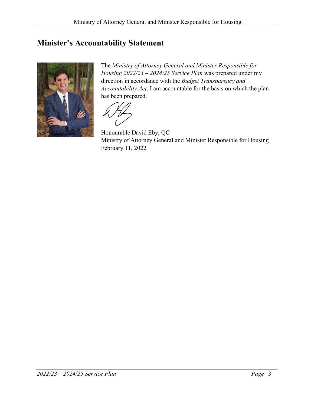# <span id="page-2-0"></span>**Minister's Accountability Statement**



The *Ministry of Attorney General and Minister Responsible for Housing 2022/23 – 2024/25 Service Plan* was prepared under my direction in accordance with the *Budget Transparency and Accountability Act*. I am accountable for the basis on which the plan has been prepared.

Honourable David Eby, QC Ministry of Attorney General and Minister Responsible for Housing February 11, 2022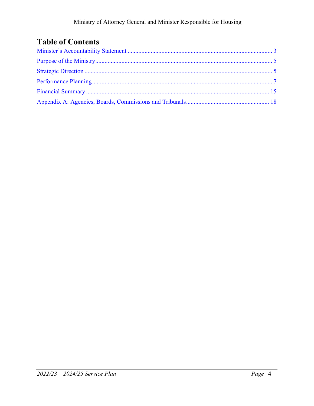# **Table of Contents**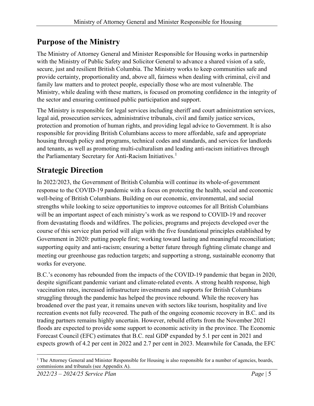# <span id="page-4-0"></span>**Purpose of the Ministry**

The Ministry of Attorney General and Minister Responsible for Housing works in partnership with the Ministry of Public Safety and Solicitor General to advance a shared vision of a safe, secure, just and resilient British Columbia. The Ministry works to keep communities safe and provide certainty, proportionality and, above all, fairness when dealing with criminal, civil and family law matters and to protect people, especially those who are most vulnerable. The Ministry, while dealing with these matters, is focused on promoting confidence in the integrity of the sector and ensuring continued public participation and support.

The Ministry is responsible for legal services including sheriff and court administration services, legal aid, prosecution services, administrative tribunals, civil and family justice services, protection and promotion of human rights, and providing legal advice to Government. It is also responsible for providing British Columbians access to more affordable, safe and appropriate housing through policy and programs, technical codes and standards, and services for landlords and tenants, as well as promoting multi-culturalism and leading anti-racism initiatives through the Parliamentary Secretary for Anti-Racism Initiatives.<sup>[1](#page-4-2)</sup>

# <span id="page-4-1"></span>**Strategic Direction**

In 2022/2023, the Government of British Columbia will continue its whole-of-government response to the COVID-19 pandemic with a focus on protecting the health, social and economic well-being of British Columbians. Building on our economic, environmental, and social strengths while looking to seize opportunities to improve outcomes for all British Columbians will be an important aspect of each ministry's work as we respond to COVID-19 and recover from devastating floods and wildfires. The policies, programs and projects developed over the course of this service plan period will align with the five foundational principles established by Government in 2020: putting people first; working toward lasting and meaningful reconciliation; supporting equity and anti-racism; ensuring a better future through fighting climate change and meeting our greenhouse gas reduction targets; and supporting a strong, sustainable economy that works for everyone.

B.C.'s economy has rebounded from the impacts of the COVID-19 pandemic that began in 2020, despite significant pandemic variant and climate-related events. A strong health response, high vaccination rates, increased infrastructure investments and supports for British Columbians struggling through the pandemic has helped the province rebound. While the recovery has broadened over the past year, it remains uneven with sectors like tourism, hospitality and live recreation events not fully recovered. The path of the ongoing economic recovery in B.C. and its trading partners remains highly uncertain. However, rebuild efforts from the November 2021 floods are expected to provide some support to economic activity in the province. The Economic Forecast Council (EFC) estimates that B.C. real GDP expanded by 5.1 per cent in 2021 and expects growth of 4.2 per cent in 2022 and 2.7 per cent in 2023. Meanwhile for Canada, the EFC

<span id="page-4-2"></span> $<sup>1</sup>$  The Attorney General and Minister Responsible for Housing is also responsible for a number of agencies, boards,</sup> commissions and tribunals (see Appendix A).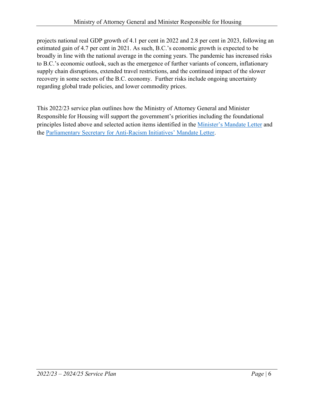projects national real GDP growth of 4.1 per cent in 2022 and 2.8 per cent in 2023, following an estimated gain of 4.7 per cent in 2021. As such, B.C.'s economic growth is expected to be broadly in line with the national average in the coming years. The pandemic has increased risks to B.C.'s economic outlook, such as the emergence of further variants of concern, inflationary supply chain disruptions, extended travel restrictions, and the continued impact of the slower recovery in some sectors of the B.C. economy. Further risks include ongoing uncertainty regarding global trade policies, and lower commodity prices.

This 2022/23 service plan outlines how the Ministry of Attorney General and Minister Responsible for Housing will support the government's priorities including the foundational principles listed above and selected action items identified in the [Minister's Mandate Letter](https://www2.gov.bc.ca/assets/gov/government/ministries-organizations/premier-cabinet-mlas/minister-letter/eby_mandate_2020_jan.pdf) and the [Parliamentary Secretary for Anti-Racism Initiatives' Mandate Letter.](https://www2.gov.bc.ca/assets/gov/government/ministries-organizations/premier-cabinet-mlas/minister-letter/singh_mandate_2020_jan.pdf)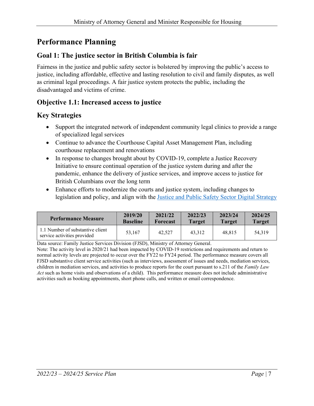# <span id="page-6-0"></span>**Performance Planning**

### **Goal 1: The justice sector in British Columbia is fair**

Fairness in the justice and public safety sector is bolstered by improving the public's access to justice, including affordable, effective and lasting resolution to civil and family disputes, as well as criminal legal proceedings. A fair justice system protects the public, including the disadvantaged and victims of crime.

#### **Objective 1.1: Increased access to justice**

### **Key Strategies**

- Support the integrated network of independent community legal clinics to provide a range of specialized legal services
- Continue to advance the Courthouse Capital Asset Management Plan, including courthouse replacement and renovations
- In response to changes brought about by COVID-19, complete a Justice Recovery Initiative to ensure continual operation of the justice system during and after the pandemic, enhance the delivery of justice services, and improve access to justice for British Columbians over the long term
- Enhance efforts to modernize the courts and justice system, including changes to legislation and policy, and align with the [Justice and Public Safety Sector Digital Strategy](https://www2.gov.bc.ca/assets/gov/british-columbians-our-governments/initiatives-plans-strategies/justice/digital-strategy.pdf)

| <b>Performance Measure</b>                                      | 2019/20         | 2021/22  | 2022/23       | 2023/24       | 2024/25       |
|-----------------------------------------------------------------|-----------------|----------|---------------|---------------|---------------|
|                                                                 | <b>Baseline</b> | Forecast | <b>Target</b> | <b>Target</b> | <b>Target</b> |
| 1.1 Number of substantive client<br>service activities provided | 53,167          | 42,527   | 43.312        | 48.815        | 54,319        |

Data source: Family Justice Services Division (FJSD), Ministry of Attorney General.

Note: The activity level in 2020/21 had been impacted by COVID-19 restrictions and requirements and return to normal activity levels are projected to occur over the FY22 to FY24 period. The performance measure covers all FJSD substantive client service activities (such as interviews, assessment of issues and needs, mediation services, children in mediation services, and activities to produce reports for the court pursuant to s.211 of the *Family Law Act* such as home visits and observations of a child). This performance measure does not include administrative activities such as booking appointments, short phone calls, and written or email correspondence.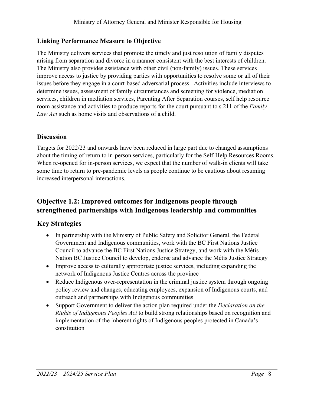#### **Linking Performance Measure to Objective**

The Ministry delivers services that promote the timely and just resolution of family disputes arising from separation and divorce in a manner consistent with the best interests of children. The Ministry also provides assistance with other civil (non-family) issues. These services improve access to justice by providing parties with opportunities to resolve some or all of their issues before they engage in a court-based adversarial process. Activities include interviews to determine issues, assessment of family circumstances and screening for violence, mediation services, children in mediation services, Parenting After Separation courses, self help resource room assistance and activities to produce reports for the court pursuant to s.211 of the *Family Law Act* such as home visits and observations of a child.

#### **Discussion**

Targets for 2022/23 and onwards have been reduced in large part due to changed assumptions about the timing of return to in-person services, particularly for the Self-Help Resources Rooms. When re-opened for in-person services, we expect that the number of walk-in clients will take some time to return to pre-pandemic levels as people continue to be cautious about resuming increased interpersonal interactions.

# **Objective 1.2: Improved outcomes for Indigenous people through strengthened partnerships with Indigenous leadership and communities**

## **Key Strategies**

- In partnership with the Ministry of Public Safety and Solicitor General, the Federal Government and Indigenous communities, work with the BC First Nations Justice Council to advance the BC First Nations Justice Strategy, and work with the Métis Nation BC Justice Council to develop, endorse and advance the Métis Justice Strategy
- Improve access to culturally appropriate justice services, including expanding the network of Indigenous Justice Centres across the province
- Reduce Indigenous over-representation in the criminal justice system through ongoing policy review and changes, educating employees, expansion of Indigenous courts, and outreach and partnerships with Indigenous communities
- Support Government to deliver the action plan required under the *Declaration on the Rights of Indigenous Peoples Act* to build strong relationships based on recognition and implementation of the inherent rights of Indigenous peoples protected in Canada's constitution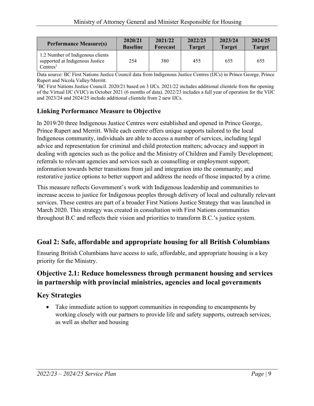| <b>Performance Measure(s)</b>                                                               | 2020/21         | 2021/22  | 2022/23       | 2023/24       | 2024/25       |
|---------------------------------------------------------------------------------------------|-----------------|----------|---------------|---------------|---------------|
|                                                                                             | <b>Baseline</b> | Forecast | <b>Target</b> | <b>Target</b> | <b>Target</b> |
| 1.2 Number of Indigenous clients<br>supported at Indigenous Justice<br>Centres <sup>1</sup> | 254             | 380      | 455           | 655           | 655           |

Data source: BC First Nations Justice Council data from Indigenous Justice Centres (IJCs) in Prince George, Prince Rupert and Nicola Valley/Merritt. 1

<sup>1</sup>BC First Nations Justice Council. 2020/21 based on 3 IJCs. 2021/22 includes additional clientele from the opening of the Virtual IJC (VIJC) in October 2021 (6 months of data). 2022/23 includes a full year of operation for the VIJC and 2023/24 and 2024/25 include additional clientele from 2 new IJCs.

#### **Linking Performance Measure to Objective**

In 2019/20 three Indigenous Justice Centres were established and opened in Prince George, Prince Rupert and Merritt. While each centre offers unique supports tailored to the local Indigenous community, individuals are able to access a number of services, including legal advice and representation for criminal and child protection matters; advocacy and support in dealing with agencies such as the police and the Ministry of Children and Family Development; referrals to relevant agencies and services such as counselling or employment support; information towards better transitions from jail and integration into the community; and restorative justice options to better support and address the needs of those impacted by a crime.

This measure reflects Government's work with Indigenous leadership and communities to increase access to justice for Indigenous peoples through delivery of local and culturally relevant services. These centres are part of a broader First Nations Justice Strategy that was launched in March 2020. This strategy was created in consultation with First Nations communities throughout B.C and reflects their vision and priorities to transform B.C.'s justice system.

## **Goal 2: Safe, affordable and appropriate housing for all British Columbians**

Ensuring British Columbians have access to safe, affordable, and appropriate housing is a key priority for the Ministry.

### **Objective 2.1: Reduce homelessness through permanent housing and services in partnership with provincial ministries, agencies and local governments**

## **Key Strategies**

• Take immediate action to support communities in responding to encampments by working closely with our partners to provide life and safety supports, outreach services, as well as shelter and housing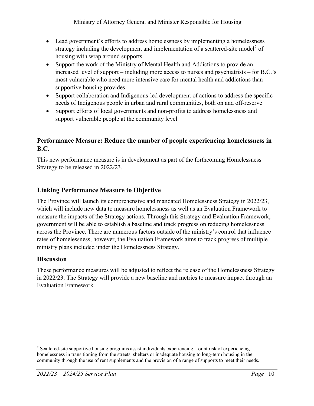- Lead government's efforts to address homelessness by implementing a homelessness strategy including the development and implementation of a scattered-site model<sup>[2](#page-9-0)</sup> of housing with wrap around supports
- Support the work of the Ministry of Mental Health and Addictions to provide an increased level of support – including more access to nurses and psychiatrists – for B.C.'s most vulnerable who need more intensive care for mental health and addictions than supportive housing provides
- Support collaboration and Indigenous-led development of actions to address the specific needs of Indigenous people in urban and rural communities, both on and off-reserve
- Support efforts of local governments and non-profits to address homelessness and support vulnerable people at the community level

#### **Performance Measure: Reduce the number of people experiencing homelessness in B.C.**

This new performance measure is in development as part of the forthcoming Homelessness Strategy to be released in 2022/23.

#### **Linking Performance Measure to Objective**

The Province will launch its comprehensive and mandated Homelessness Strategy in 2022/23, which will include new data to measure homelessness as well as an Evaluation Framework to measure the impacts of the Strategy actions. Through this Strategy and Evaluation Framework, government will be able to establish a baseline and track progress on reducing homelessness across the Province. There are numerous factors outside of the ministry's control that influence rates of homelessness, however, the Evaluation Framework aims to track progress of multiple ministry plans included under the Homelessness Strategy.

#### **Discussion**

These performance measures will be adjusted to reflect the release of the Homelessness Strategy in 2022/23. The Strategy will provide a new baseline and metrics to measure impact through an Evaluation Framework.

<span id="page-9-0"></span><sup>&</sup>lt;sup>2</sup> Scattered-site supportive housing programs assist individuals experiencing – or at risk of experiencing – homelessness in transitioning from the streets, shelters or inadequate housing to long-term housing in the community through the use of rent supplements and the provision of a range of supports to meet their needs.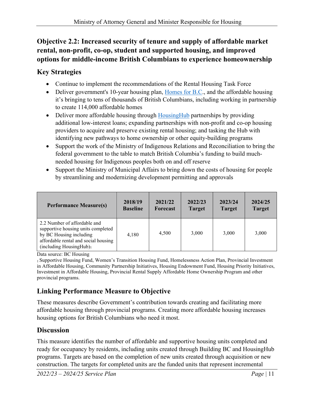# **Objective 2.2: Increased security of tenure and supply of affordable market rental, non-profit, co-op, student and supported housing, and improved options for middle-income British Columbians to experience homeownership**

# **Key Strategies**

- Continue to implement the recommendations of the Rental Housing Task Force
- Deliver government's 10-year housing plan, [Homes for B.C.](https://www.bcbudget.gov.bc.ca/2018/homesbc/2018_homes_for_bc.pdf), and the affordable housing it's bringing to tens of thousands of British Columbians, including working in partnership to create 114,000 affordable homes
- Deliver more affordable housing through [HousingHub](https://www.bchousing.org/housinghub) partnerships by providing additional low-interest loans; expanding partnerships with non-profit and co-op housing providers to acquire and preserve existing rental housing; and tasking the Hub with identifying new pathways to home ownership or other equity-building programs
- Support the work of the Ministry of Indigenous Relations and Reconciliation to bring the federal government to the table to match British Columbia's funding to build muchneeded housing for Indigenous peoples both on and off reserve
- Support the Ministry of Municipal Affairs to bring down the costs of housing for people by streamlining and modernizing development permitting and approvals

| <b>Performance Measure(s)</b>                                                                                                                                                 | 2018/19         | 2021/22         | 2022/23       | 2023/24       | 2024/25       |
|-------------------------------------------------------------------------------------------------------------------------------------------------------------------------------|-----------------|-----------------|---------------|---------------|---------------|
|                                                                                                                                                                               | <b>Baseline</b> | <b>Forecast</b> | <b>Target</b> | <b>Target</b> | <b>Target</b> |
| 2.2 Number of affordable and<br>supportive housing units completed<br>by BC Housing including<br>affordable rental and social housing<br>(including Housing Hub) <sub>1</sub> | 4,180           | 4,500           | 3,000         | 3,000         | 3,000         |

Data source: BC Housing

1 Supportive Housing Fund, Women's Transition Housing Fund, Homelessness Action Plan, Provincial Investment in Affordable Housing, Community Partnership Initiatives, Housing Endowment Fund, Housing Priority Initiatives, Investment in Affordable Housing, Provincial Rental Supply Affordable Home Ownership Program and other provincial programs.

# **Linking Performance Measure to Objective**

These measures describe Government's contribution towards creating and facilitating more affordable housing through provincial programs. Creating more affordable housing increases housing options for British Columbians who need it most.

# **Discussion**

This measure identifies the number of affordable and supportive housing units completed and ready for occupancy by residents, including units created through Building BC and HousingHub programs. Targets are based on the completion of new units created through acquisition or new construction. The targets for completed units are the funded units that represent incremental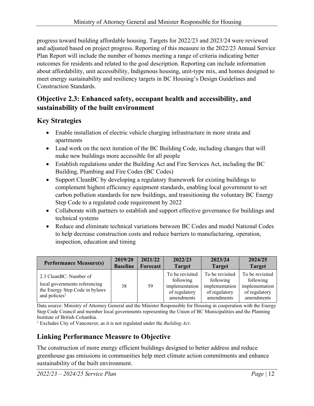progress toward building affordable housing. Targets for 2022/23 and 2023/24 were reviewed and adjusted based on project progress. Reporting of this measure in the 2022/23 Annual Service Plan Report will include the number of homes meeting a range of criteria indicating better outcomes for residents and related to the goal description. Reporting can include information about affordability, unit accessibility, Indigenous housing, unit-type mix, and homes designed to meet energy sustainability and resiliency targets in BC Housing's Design Guidelines and Construction Standards.

#### **Objective 2.3: Enhanced safety, occupant health and accessibility, and sustainability of the built environment**

### **Key Strategies**

- Enable installation of electric vehicle charging infrastructure in more strata and apartments
- Lead work on the next iteration of the BC Building Code, including changes that will make new buildings more accessible for all people
- Establish regulations under the Building Act and Fire Services Act, including the BC Building, Plumbing and Fire Codes (BC Codes)
- Support CleanBC by developing a regulatory framework for existing buildings to complement highest efficiency equipment standards, enabling local government to set carbon pollution standards for new buildings, and transitioning the voluntary BC Energy Step Code to a regulated code requirement by 2022
- Collaborate with partners to establish and support effective governance for buildings and technical systems
- Reduce and eliminate technical variations between BC Codes and model National Codes to help decrease construction costs and reduce barriers to manufacturing, operation, inspection, education and timing

| <b>Performance Measure(s)</b>                                                                                          | 2019/20         | 2021/22  | 2022/23                                                                       | 2023/24                                                                       | 2024/25                                                                       |
|------------------------------------------------------------------------------------------------------------------------|-----------------|----------|-------------------------------------------------------------------------------|-------------------------------------------------------------------------------|-------------------------------------------------------------------------------|
|                                                                                                                        | <b>Baseline</b> | Forecast | <b>Target</b>                                                                 | <b>Target</b>                                                                 | <b>Target</b>                                                                 |
| 2.3 CleanBC: Number of<br>local governments referencing<br>the Energy Step Code in bylaws<br>and policies <sup>1</sup> | 38              | 59       | To be revisited<br>following<br>implementation<br>of regulatory<br>amendments | To be revisited<br>following<br>implementation<br>of regulatory<br>amendments | To be revisited<br>following<br>implementation<br>of regulatory<br>amendments |

Data source: Ministry of Attorney General and the Minister Responsible for Housing in cooperation with the Energy Step Code Council and member local governments representing the Union of BC Municipalities and the Planning Institute of British Columbia.

<sup>1</sup> Excludes City of Vancouver, as it is not regulated under the *Building Act*.

# **Linking Performance Measure to Objective**

The construction of more energy efficient buildings designed to better address and reduce greenhouse gas emissions in communities help meet climate action commitments and enhance sustainability of the built environment.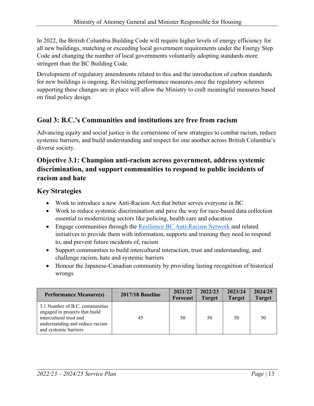In 2022, the British Columbia Building Code will require higher levels of energy efficiency for all new buildings, matching or exceeding local government requirements under the Energy Step Code and changing the number of local governments voluntarily adopting standards more stringent than the BC Building Code.

Development of regulatory amendments related to this and the introduction of carbon standards for new buildings is ongoing. Revisiting performance measures once the regulatory schemes supporting these changes are in place will allow the Ministry to craft meaningful measures based on final policy design.

### **Goal 3: B.C.'s Communities and institutions are free from racism**

Advancing equity and social justice is the cornerstone of new strategies to combat racism, reduce systemic barriers, and build understanding and respect for one another across British Columbia's diverse society.

### **Objective 3.1: Champion anti-racism across government, address systemic discrimination, and support communities to respond to public incidents of racism and hate**

#### **Key Strategies**

- Work to introduce a new Anti-Racism Act that better serves everyone in BC
- Work to reduce systemic discrimination and pave the way for race-based data collection essential to modernizing sectors like policing, health care and education
- Engage communities through the [Resilience BC Anti-Racism Network](https://www2.gov.bc.ca/gov/content/governments/multiculturalism-anti-racism/anti-racism/resiliencebc) and related initiatives to provide them with information, supports and training they need to respond to, and prevent future incidents of, racism
- Support communities to build intercultural interaction, trust and understanding, and challenge racism, hate and systemic barriers
- Honour the Japanese-Canadian community by providing lasting recognition of historical wrongs

| <b>Performance Measure(s)</b>                                                                                                                           | <b>2017/18 Baseline</b> | 2021/22<br><b>Forecast</b> | 2022/23<br><b>Target</b> | 2023/24<br><b>Target</b> | 2024/25<br><b>Target</b> |
|---------------------------------------------------------------------------------------------------------------------------------------------------------|-------------------------|----------------------------|--------------------------|--------------------------|--------------------------|
| 3.1 Number of B.C. communities<br>engaged in projects that build<br>intercultural trust and<br>understanding and reduce racism<br>and systemic barriers | 45                      | 50                         | 50                       | 50                       | 50                       |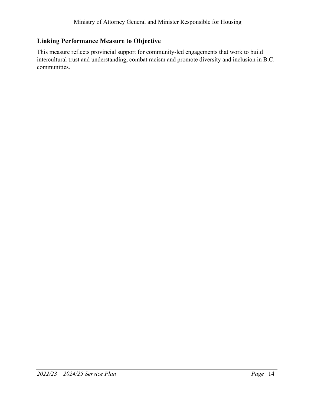#### **Linking Performance Measure to Objective**

This measure reflects provincial support for community-led engagements that work to build intercultural trust and understanding, combat racism and promote diversity and inclusion in B.C. communities.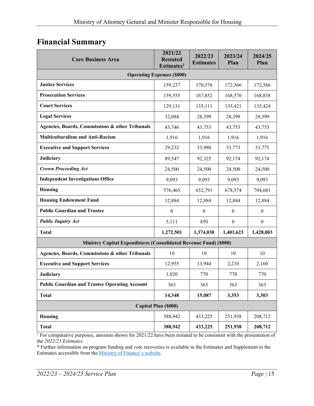# <span id="page-14-0"></span>**Financial Summary**

| <b>Core Business Area</b>                                         | 2021/22<br><b>Restated</b><br>Estimates <sup>1</sup> | 2022/23<br><b>Estimates</b> | 2023/24<br>Plan  | 2024/25<br>Plan  |  |  |  |
|-------------------------------------------------------------------|------------------------------------------------------|-----------------------------|------------------|------------------|--|--|--|
| <b>Operating Expenses (\$000)</b>                                 |                                                      |                             |                  |                  |  |  |  |
| <b>Justice Services</b>                                           | 159,237                                              | 170,576                     | 172,566          | 172,566          |  |  |  |
| <b>Prosecution Services</b>                                       | 159,555                                              | 167,852                     | 168,570          | 168,838          |  |  |  |
| <b>Court Services</b>                                             | 129,131                                              | 135,111                     | 135,421          | 135,424          |  |  |  |
| <b>Legal Services</b>                                             | 32,084                                               | 28,399                      | 28,399           | 28,399           |  |  |  |
| Agencies, Boards, Commissions & other Tribunals                   | 43,746                                               | 43,753                      | 43,753           | 43,753           |  |  |  |
| <b>Multiculturalism and Anti-Racism</b>                           | 1,916                                                | 1,916                       | 1,916            | 1,916            |  |  |  |
| <b>Executive and Support Services</b>                             | 29,232                                               | 33,980                      | 33,773           | 33,775           |  |  |  |
| Judiciary                                                         | 89,547                                               | 92,325                      | 92,174           | 92,174           |  |  |  |
| <b>Crown Proceeding Act</b>                                       | 24,500                                               | 24,500                      | 24,500           | 24,500           |  |  |  |
| <b>Independent Investigations Office</b>                          | 9,093                                                | 9,093                       | 9,093            | 9,093            |  |  |  |
| Housing                                                           | 576,465                                              | 652,791                     | 678,574          | 704,681          |  |  |  |
| <b>Housing Endowment Fund</b>                                     | 12,884                                               | 12,884                      | 12,884           | 12,884           |  |  |  |
| <b>Public Guardian and Trustee</b>                                | $\boldsymbol{0}$                                     | $\boldsymbol{0}$            | $\boldsymbol{0}$ | $\boldsymbol{0}$ |  |  |  |
| <b>Public Inquiry Act</b>                                         | 5,111                                                | 850                         | $\boldsymbol{0}$ | $\mathbf{0}$     |  |  |  |
| <b>Total</b>                                                      | 1,272,501                                            | 1,374,030                   | 1,401,623        | 1,428,003        |  |  |  |
| Ministry Capital Expenditures (Consolidated Revenue Fund) (\$000) |                                                      |                             |                  |                  |  |  |  |
| Agencies, Boards, Commissions & other Tribunals                   | 10                                                   | 10                          | 10               | 10               |  |  |  |
| <b>Executive and Support Services</b>                             | 12,955                                               | 13,944                      | 2,210            | 2,160            |  |  |  |
| <b>Judiciary</b>                                                  | 1,020                                                | 770                         | 770              | 770              |  |  |  |
| <b>Public Guardian and Trustee Operating Account</b>              | 363                                                  | 363                         | 363              | 363              |  |  |  |
| <b>Total</b>                                                      | 14,348                                               | 15,087                      | 3,353            | 3,303            |  |  |  |
| Capital Plan (\$000)                                              |                                                      |                             |                  |                  |  |  |  |
| Housing                                                           | 388,942                                              | 433,225                     | 251,938          | 208,712          |  |  |  |
| <b>Total</b>                                                      | 388,942                                              | 433,225                     | 251,938          | 208,712          |  |  |  |

 $1$  For comparative purposes, amounts shown for 2021/22 have been restated to be consistent with the presentation of the *2022/23 Estimates*.

\* Further information on program funding and vote recoveries is available in the Estimates and Supplement to the Estimates accessible from the [Ministry of Finance's website.](https://www2.gov.bc.ca/gov/content/governments/organizational-structure/ministries-organizations/ministries/finance)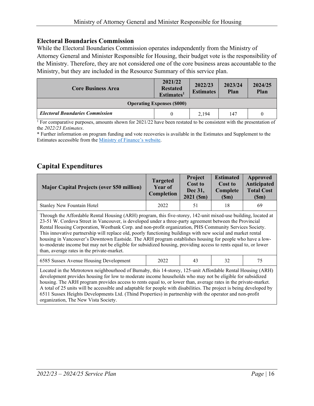#### **Electoral Boundaries Commission**

While the Electoral Boundaries Commission operates independently from the Ministry of Attorney General and Minister Responsible for Housing, their budget vote is the responsibility of the Ministry. Therefore, they are not considered one of the core business areas accountable to the Ministry, but they are included in the Resource Summary of this service plan.

| <b>Core Business Area</b>              | 2021/22<br><b>Restated</b><br>Estimates <sup>1</sup> | 2022/23<br><b>Estimates</b> | 2023/24<br>Plan | 2024/25<br>Plan |  |  |
|----------------------------------------|------------------------------------------------------|-----------------------------|-----------------|-----------------|--|--|
| <b>Operating Expenses (\$000)</b>      |                                                      |                             |                 |                 |  |  |
| <b>Electoral Boundaries Commission</b> | $\theta$                                             | 2.194                       | 147             | 0               |  |  |

<sup>1</sup> For comparative purposes, amounts shown for 2021/22 have been restated to be consistent with the presentation of the *2022/23 Estimates*.

\* Further information on program funding and vote recoveries is available in the Estimates and Supplement to the Estimates accessible from the [Ministry of Finance's website.](https://www2.gov.bc.ca/gov/content/governments/organizational-structure/ministries-organizations/ministries/finance)

#### **Capital Expenditures**

| <b>Major Capital Projects (over \$50 million)</b>                                                                                                                                                                                                                                                                                                                                                                                                                                                                                                                                                                                                                                                                                 | <b>Targeted</b><br>Year of<br>Completion | Project<br><b>Cost to</b><br>Dec 31,<br>$2021$ (\$m) | <b>Estimated</b><br>Cost to<br>Complete<br>(Sm) | Approved<br>Anticipated<br><b>Total Cost</b><br>(Sm) |  |  |  |
|-----------------------------------------------------------------------------------------------------------------------------------------------------------------------------------------------------------------------------------------------------------------------------------------------------------------------------------------------------------------------------------------------------------------------------------------------------------------------------------------------------------------------------------------------------------------------------------------------------------------------------------------------------------------------------------------------------------------------------------|------------------------------------------|------------------------------------------------------|-------------------------------------------------|------------------------------------------------------|--|--|--|
| <b>Stanley New Fountain Hotel</b>                                                                                                                                                                                                                                                                                                                                                                                                                                                                                                                                                                                                                                                                                                 | 2022                                     | 51                                                   | 18                                              | 69                                                   |  |  |  |
| Through the Affordable Rental Housing (ARH) program, this five-storey, 142-unit mixed-use building, located at<br>23-51 W. Cordova Street in Vancouver, is developed under a three-party agreement between the Provincial<br>Rental Housing Corporation, Westbank Corp. and non-profit organization, PHS Community Services Society.<br>This innovative partnership will replace old, poorly functioning buildings with new social and market rental<br>housing in Vancouver's Downtown Eastside. The ARH program establishes housing for people who have a low-<br>to-moderate income but may not be eligible for subsidized housing, providing access to rents equal to, or lower<br>than, average rates in the private-market. |                                          |                                                      |                                                 |                                                      |  |  |  |
| 6585 Sussex Avenue Housing Development                                                                                                                                                                                                                                                                                                                                                                                                                                                                                                                                                                                                                                                                                            | 43<br>32<br>75<br>2022                   |                                                      |                                                 |                                                      |  |  |  |
| Located in the Metrotown neighbourhood of Burnaby, this 14-storey, 125-unit Affordable Rental Housing (ARH)<br>development provides housing for low to moderate income households who may not be eligible for subsidized<br>housing. The ARH program provides access to rents equal to, or lower than, average rates in the private-market.<br>A total of 25 units will be accessible and adaptable for people with disabilities. The project is being developed by<br>6511 Sussex Heights Developments Ltd. (Thind Properties) in partnership with the operator and non-profit                                                                                                                                                   |                                          |                                                      |                                                 |                                                      |  |  |  |

organization, The New Vista Society.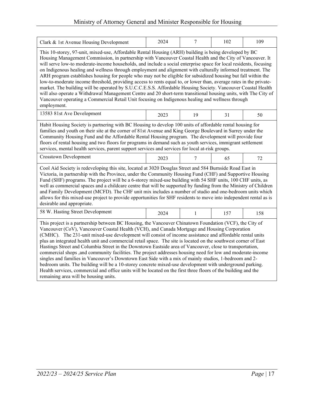| Clark & 1st Avenue Housing Development                                                                                                                                                                                                                                                                                                                                                                                                                                                                                                                                                                                                                                                                                                                                                                                                                                                                                                                                                                                                              | 2024 | 7  | 102 | 109 |  |  |  |  |
|-----------------------------------------------------------------------------------------------------------------------------------------------------------------------------------------------------------------------------------------------------------------------------------------------------------------------------------------------------------------------------------------------------------------------------------------------------------------------------------------------------------------------------------------------------------------------------------------------------------------------------------------------------------------------------------------------------------------------------------------------------------------------------------------------------------------------------------------------------------------------------------------------------------------------------------------------------------------------------------------------------------------------------------------------------|------|----|-----|-----|--|--|--|--|
| This 10-storey, 97-unit, mixed-use, Affordable Rental Housing (ARH) building is being developed by BC<br>Housing Management Commission, in partnership with Vancouver Coastal Health and the City of Vancouver. It<br>will serve low-to moderate-income households, and include a social enterprise space for local residents, focusing<br>on Indigenous healing and wellness through employment and alignment with culturally informed treatment. The<br>ARH program establishes housing for people who may not be eligible for subsidized housing but fall within the<br>low-to-moderate income threshold, providing access to rents equal to, or lower than, average rates in the private-<br>market. The building will be operated by S.U.C.C.E.S.S. Affordable Housing Society. Vancouver Coastal Health<br>will also operate a Withdrawal Management Centre and 20 short-term transitional housing units, with The City of<br>Vancouver operating a Commercial Retail Unit focusing on Indigenous healing and wellness through<br>employment. |      |    |     |     |  |  |  |  |
| 13583 81st Ave Development                                                                                                                                                                                                                                                                                                                                                                                                                                                                                                                                                                                                                                                                                                                                                                                                                                                                                                                                                                                                                          | 2023 | 19 | 31  | 50  |  |  |  |  |
| Habit Housing Society is partnering with BC Housing to develop 100 units of affordable rental housing for<br>families and youth on their site at the corner of 81st Avenue and King George Boulevard in Surrey under the<br>Community Housing Fund and the Affordable Rental Housing program. The development will provide four<br>floors of rental housing and two floors for programs in demand such as youth services, immigrant settlement<br>services, mental health services, parent support services and services for local at-risk groups.                                                                                                                                                                                                                                                                                                                                                                                                                                                                                                  |      |    |     |     |  |  |  |  |
| Crosstown Development                                                                                                                                                                                                                                                                                                                                                                                                                                                                                                                                                                                                                                                                                                                                                                                                                                                                                                                                                                                                                               | 2023 | 7  | 65  | 72  |  |  |  |  |
| Cool Aid Society is redeveloping this site, located at 3020 Douglas Street and 584 Burnside Road East in<br>Victoria, in partnership with the Province, under the Community Housing Fund (CHF) and Supportive Housing<br>Fund (SHF) programs. The project will be a 6-storey mixed-use building with 54 SHF units, 100 CHF units, as<br>well as commercial spaces and a childcare centre that will be supported by funding from the Ministry of Children<br>and Family Development (MCFD). The CHF unit mix includes a number of studio and one-bedroom units which<br>allows for this mixed-use project to provide opportunities for SHF residents to move into independent rental as is<br>desirable and appropriate.                                                                                                                                                                                                                                                                                                                             |      |    |     |     |  |  |  |  |
| 58 W. Hasting Street Development                                                                                                                                                                                                                                                                                                                                                                                                                                                                                                                                                                                                                                                                                                                                                                                                                                                                                                                                                                                                                    | 2024 | 1  | 157 | 158 |  |  |  |  |
| This project is a partnership between BC Housing, the Vancouver Chinatown Foundation (VCF), the City of<br>Vancouver (CoV), Vancouver Coastal Health (VCH), and Canada Mortgage and Housing Corporation<br>(CMHC). The 231-unit mixed-use development will consist of income assistance and affordable rental units<br>plus an integrated health unit and commercial retail space. The site is located on the southwest corner of East<br>Hastings Street and Columbia Street in the Downtown Eastside area of Vancouver, close to transportation,<br>commercial shops , and community facilities. The project addresses housing need for low and moderate-income<br>singles and families in Vancouver's Downtown East Side with a mix of mainly studios, 1-bedroom and 2-<br>bedroom units. The building will be a 10-storey concrete mixed-use development with underground parking.<br>Health services, commercial and office units will be located on the first three floors of the building and the<br>remaining area will be housing units.   |      |    |     |     |  |  |  |  |